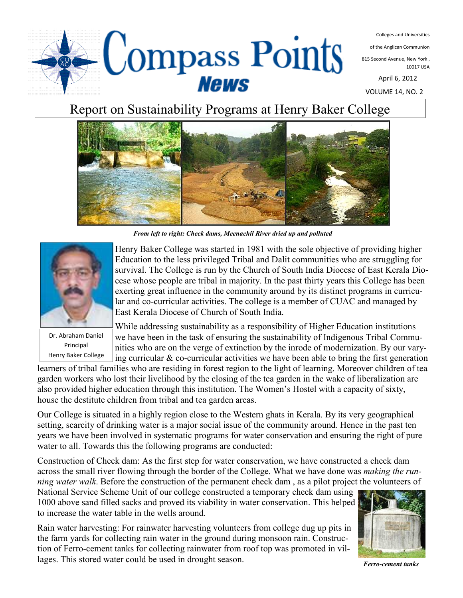

Colleges and Universities

of the Anglican Communion

815 Second Avenue, New York , 10017 USA

April 6, 2012

VOLUME 14, NO. 2

# Report on Sustainability Programs at Henry Baker College



*From left to right: Check dams, Meenachil River dried up and polluted* 



Dr. Abraham Daniel Principal Henry Baker College

Henry Baker College was started in 1981 with the sole objective of providing higher Education to the less privileged Tribal and Dalit communities who are struggling for survival. The College is run by the Church of South India Diocese of East Kerala Diocese whose people are tribal in majority. In the past thirty years this College has been exerting great influence in the community around by its distinct programs in curricular and co-curricular activities. The college is a member of CUAC and managed by East Kerala Diocese of Church of South India.

While addressing sustainability as a responsibility of Higher Education institutions we have been in the task of ensuring the sustainability of Indigenous Tribal Communities who are on the verge of extinction by the inrode of modernization. By our varying curricular & co-curricular activities we have been able to bring the first generation

learners of tribal families who are residing in forest region to the light of learning. Moreover children of tea garden workers who lost their livelihood by the closing of the tea garden in the wake of liberalization are also provided higher education through this institution. The Women's Hostel with a capacity of sixty, house the destitute children from tribal and tea garden areas.

Our College is situated in a highly region close to the Western ghats in Kerala. By its very geographical setting, scarcity of drinking water is a major social issue of the community around. Hence in the past ten years we have been involved in systematic programs for water conservation and ensuring the right of pure water to all. Towards this the following programs are conducted:

Construction of Check dam: As the first step for water conservation, we have constructed a check dam across the small river flowing through the border of the College. What we have done was *making the running water walk*. Before the construction of the permanent check dam , as a pilot project the volunteers of

National Service Scheme Unit of our college constructed a temporary check dam using 1000 above sand filled sacks and proved its viability in water conservation. This helped to increase the water table in the wells around.

Rain water harvesting: For rainwater harvesting volunteers from college dug up pits in the farm yards for collecting rain water in the ground during monsoon rain. Construction of Ferro-cement tanks for collecting rainwater from roof top was promoted in villages. This stored water could be used in drought season.



*Ferro-cement tanks*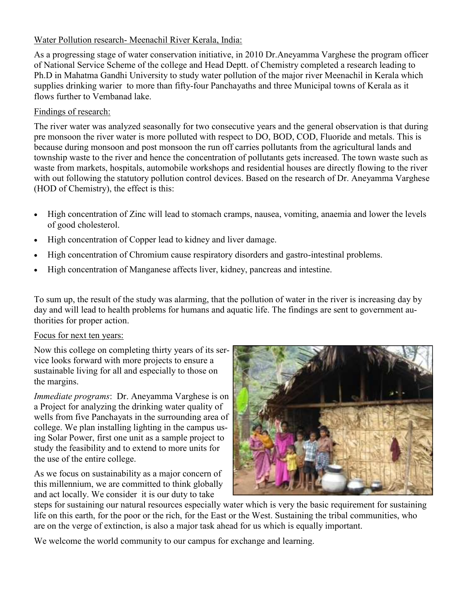### Water Pollution research- Meenachil River Kerala, India:

As a progressing stage of water conservation initiative, in 2010 Dr.Aneyamma Varghese the program officer of National Service Scheme of the college and Head Deptt. of Chemistry completed a research leading to Ph.D in Mahatma Gandhi University to study water pollution of the major river Meenachil in Kerala which supplies drinking warier to more than fifty-four Panchayaths and three Municipal towns of Kerala as it flows further to Vembanad lake.

### Findings of research:

The river water was analyzed seasonally for two consecutive years and the general observation is that during pre monsoon the river water is more polluted with respect to DO, BOD, COD, Fluoride and metals. This is because during monsoon and post monsoon the run off carries pollutants from the agricultural lands and township waste to the river and hence the concentration of pollutants gets increased. The town waste such as waste from markets, hospitals, automobile workshops and residential houses are directly flowing to the river with out following the statutory pollution control devices. Based on the research of Dr. Aneyamma Varghese (HOD of Chemistry), the effect is this:

- High concentration of Zinc will lead to stomach cramps, nausea, vomiting, anaemia and lower the levels of good cholesterol.
- High concentration of Copper lead to kidney and liver damage.
- High concentration of Chromium cause respiratory disorders and gastro-intestinal problems.
- High concentration of Manganese affects liver, kidney, pancreas and intestine.

To sum up, the result of the study was alarming, that the pollution of water in the river is increasing day by day and will lead to health problems for humans and aquatic life. The findings are sent to government authorities for proper action.

## Focus for next ten years:

Now this college on completing thirty years of its service looks forward with more projects to ensure a sustainable living for all and especially to those on the margins.

*Immediate programs*: Dr. Aneyamma Varghese is on a Project for analyzing the drinking water quality of wells from five Panchayats in the surrounding area of college. We plan installing lighting in the campus using Solar Power, first one unit as a sample project to study the feasibility and to extend to more units for the use of the entire college.

As we focus on sustainability as a major concern of this millennium, we are committed to think globally and act locally. We consider it is our duty to take



steps for sustaining our natural resources especially water which is very the basic requirement for sustaining life on this earth, for the poor or the rich, for the East or the West. Sustaining the tribal communities, who are on the verge of extinction, is also a major task ahead for us which is equally important.

We welcome the world community to our campus for exchange and learning.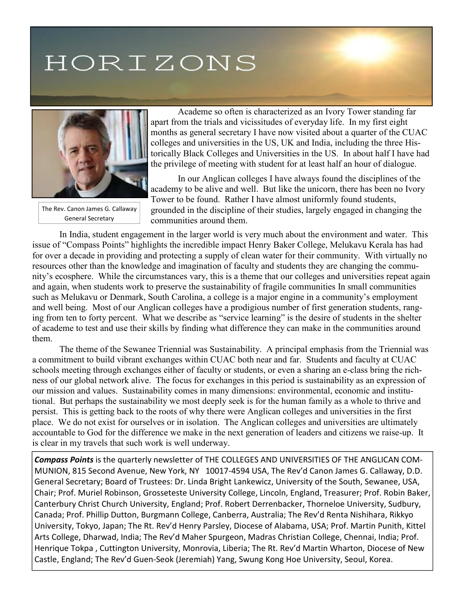# HORIZONS



The Rev. Canon James G. Callaway General Secretary

 Academe so often is characterized as an Ivory Tower standing far apart from the trials and vicissitudes of everyday life. In my first eight months as general secretary I have now visited about a quarter of the CUAC colleges and universities in the US, UK and India, including the three Historically Black Colleges and Universities in the US. In about half I have had the privilege of meeting with student for at least half an hour of dialogue.

 In our Anglican colleges I have always found the disciplines of the academy to be alive and well. But like the unicorn, there has been no Ivory Tower to be found. Rather I have almost uniformly found students, grounded in the discipline of their studies, largely engaged in changing the communities around them.

In India, student engagement in the larger world is very much about the environment and water. This issue of "Compass Points" highlights the incredible impact Henry Baker College, Melukavu Kerala has had for over a decade in providing and protecting a supply of clean water for their community. With virtually no resources other than the knowledge and imagination of faculty and students they are changing the community's ecosphere. While the circumstances vary, this is a theme that our colleges and universities repeat again and again, when students work to preserve the sustainability of fragile communities In small communities such as Melukavu or Denmark, South Carolina, a college is a major engine in a community's employment and well being. Most of our Anglican colleges have a prodigious number of first generation students, ranging from ten to forty percent. What we describe as "service learning" is the desire of students in the shelter of academe to test and use their skills by finding what difference they can make in the communities around them.

 The theme of the Sewanee Triennial was Sustainability. A principal emphasis from the Triennial was a commitment to build vibrant exchanges within CUAC both near and far. Students and faculty at CUAC schools meeting through exchanges either of faculty or students, or even a sharing an e-class bring the richness of our global network alive. The focus for exchanges in this period is sustainability as an expression of our mission and values. Sustainability comes in many dimensions: environmental, economic and institutional. But perhaps the sustainability we most deeply seek is for the human family as a whole to thrive and persist. This is getting back to the roots of why there were Anglican colleges and universities in the first place. We do not exist for ourselves or in isolation. The Anglican colleges and universities are ultimately accountable to God for the difference we make in the next generation of leaders and citizens we raise-up. It is clear in my travels that such work is well underway.

*Compass Points* is the quarterly newsletter of THE COLLEGES AND UNIVERSITIES OF THE ANGLICAN COM-MUNION, 815 Second Avenue, New York, NY 10017-4594 USA, The Rev'd Canon James G. Callaway, D.D. General Secretary; Board of Trustees: Dr. Linda Bright Lankewicz, University of the South, Sewanee, USA, Chair; Prof. Muriel Robinson, Grosseteste University College, Lincoln, England, Treasurer; Prof. Robin Baker, Canterbury Christ Church University, England; Prof. Robert Derrenbacker, Thorneloe University, Sudbury, Canada; Prof. Phillip Dutton, Burgmann College, Canberra, Australia; The Rev'd Renta Nishihara, Rikkyo University, Tokyo, Japan; The Rt. Rev'd Henry Parsley, Diocese of Alabama, USA; Prof. Martin Punith, Kittel Arts College, Dharwad, India; The Rev'd Maher Spurgeon, Madras Christian College, Chennai, India; Prof. Henrique Tokpa , Cuttington University, Monrovia, Liberia; The Rt. Rev'd Martin Wharton, Diocese of New Castle, England; The Rev'd Guen-Seok (Jeremiah) Yang, Swung Kong Hoe University, Seoul, Korea.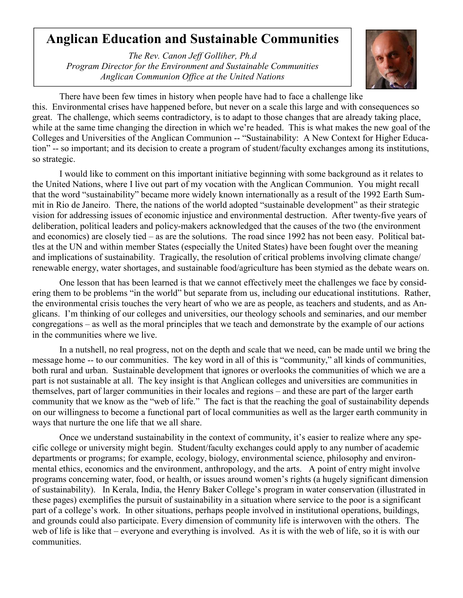## **Anglican Education and Sustainable Communities**

*The Rev. Canon Jeff Golliher, Ph.d Program Director for the Environment and Sustainable Communities Anglican Communion Office at the United Nations*



There have been few times in history when people have had to face a challenge like this. Environmental crises have happened before, but never on a scale this large and with consequences so great. The challenge, which seems contradictory, is to adapt to those changes that are already taking place, while at the same time changing the direction in which we're headed. This is what makes the new goal of the Colleges and Universities of the Anglican Communion -- "Sustainability: A New Context for Higher Education" -- so important; and its decision to create a program of student/faculty exchanges among its institutions, so strategic.

I would like to comment on this important initiative beginning with some background as it relates to the United Nations, where I live out part of my vocation with the Anglican Communion. You might recall that the word "sustainability" became more widely known internationally as a result of the 1992 Earth Summit in Rio de Janeiro. There, the nations of the world adopted "sustainable development" as their strategic vision for addressing issues of economic injustice and environmental destruction. After twenty-five years of deliberation, political leaders and policy-makers acknowledged that the causes of the two (the environment and economics) are closely tied – as are the solutions. The road since 1992 has not been easy. Political battles at the UN and within member States (especially the United States) have been fought over the meaning and implications of sustainability. Tragically, the resolution of critical problems involving climate change/ renewable energy, water shortages, and sustainable food/agriculture has been stymied as the debate wears on.

One lesson that has been learned is that we cannot effectively meet the challenges we face by considering them to be problems "in the world" but separate from us, including our educational institutions. Rather, the environmental crisis touches the very heart of who we are as people, as teachers and students, and as Anglicans. I'm thinking of our colleges and universities, our theology schools and seminaries, and our member congregations – as well as the moral principles that we teach and demonstrate by the example of our actions in the communities where we live.

In a nutshell, no real progress, not on the depth and scale that we need, can be made until we bring the message home -- to our communities. The key word in all of this is "community," all kinds of communities, both rural and urban. Sustainable development that ignores or overlooks the communities of which we are a part is not sustainable at all. The key insight is that Anglican colleges and universities are communities in themselves, part of larger communities in their locales and regions – and these are part of the larger earth community that we know as the "web of life." The fact is that the reaching the goal of sustainability depends on our willingness to become a functional part of local communities as well as the larger earth community in ways that nurture the one life that we all share.

Once we understand sustainability in the context of community, it's easier to realize where any specific college or university might begin. Student/faculty exchanges could apply to any number of academic departments or programs; for example, ecology, biology, environmental science, philosophy and environmental ethics, economics and the environment, anthropology, and the arts. A point of entry might involve programs concerning water, food, or health, or issues around women's rights (a hugely significant dimension of sustainability). In Kerala, India, the Henry Baker College's program in water conservation (illustrated in these pages) exemplifies the pursuit of sustainability in a situation where service to the poor is a significant part of a college's work. In other situations, perhaps people involved in institutional operations, buildings, and grounds could also participate. Every dimension of community life is interwoven with the others. The web of life is like that – everyone and everything is involved. As it is with the web of life, so it is with our communities.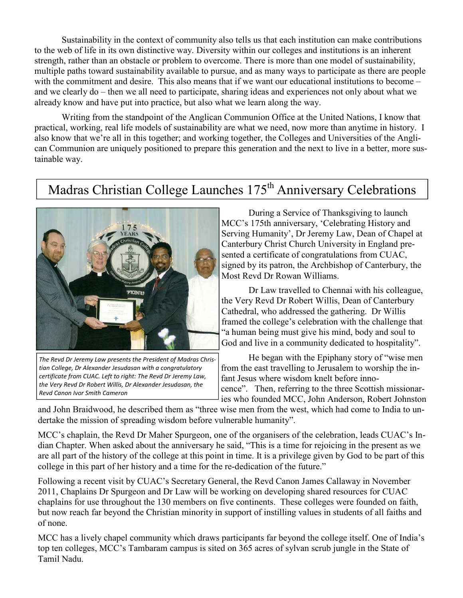Sustainability in the context of community also tells us that each institution can make contributions to the web of life in its own distinctive way. Diversity within our colleges and institutions is an inherent strength, rather than an obstacle or problem to overcome. There is more than one model of sustainability, multiple paths toward sustainability available to pursue, and as many ways to participate as there are people with the commitment and desire. This also means that if we want our educational institutions to become – and we clearly do – then we all need to participate, sharing ideas and experiences not only about what we already know and have put into practice, but also what we learn along the way.

Writing from the standpoint of the Anglican Communion Office at the United Nations, I know that practical, working, real life models of sustainability are what we need, now more than anytime in history. I also know that we're all in this together; and working together, the Colleges and Universities of the Anglican Communion are uniquely positioned to prepare this generation and the next to live in a better, more sustainable way.

# Madras Christian College Launches 175<sup>th</sup> Anniversary Celebrations



*The Revd Dr Jeremy Law presents the President of Madras Christian College, Dr Alexander Jesudasan with a congratulatory certificate from CUAC. Left to right: The Revd Dr Jeremy Law, the Very Revd Dr Robert Willis, Dr Alexander Jesudasan, the Revd Canon Ivor Smith Cameron* 

 During a Service of Thanksgiving to launch MCC's 175th anniversary, 'Celebrating History and Serving Humanity', Dr Jeremy Law, Dean of Chapel at Canterbury Christ Church University in England presented a certificate of congratulations from CUAC, signed by its patron, the Archbishop of Canterbury, the Most Revd Dr Rowan Williams.

 Dr Law travelled to Chennai with his colleague, the Very Revd Dr Robert Willis, Dean of Canterbury Cathedral, who addressed the gathering. Dr Willis framed the college's celebration with the challenge that "a human being must give his mind, body and soul to God and live in a community dedicated to hospitality".

 He began with the Epiphany story of "wise men from the east travelling to Jerusalem to worship the infant Jesus where wisdom knelt before innocence". Then, referring to the three Scottish missionaries who founded MCC, John Anderson, Robert Johnston

and John Braidwood, he described them as "three wise men from the west, which had come to India to undertake the mission of spreading wisdom before vulnerable humanity".

MCC's chaplain, the Revd Dr Maher Spurgeon, one of the organisers of the celebration, leads CUAC's Indian Chapter. When asked about the anniversary he said, "This is a time for rejoicing in the present as we are all part of the history of the college at this point in time. It is a privilege given by God to be part of this college in this part of her history and a time for the re-dedication of the future."

Following a recent visit by CUAC's Secretary General, the Revd Canon James Callaway in November 2011, Chaplains Dr Spurgeon and Dr Law will be working on developing shared resources for CUAC chaplains for use throughout the 130 members on five continents. These colleges were founded on faith, but now reach far beyond the Christian minority in support of instilling values in students of all faiths and of none.

MCC has a lively chapel community which draws participants far beyond the college itself. One of India's top ten colleges, MCC's Tambaram campus is sited on 365 acres of sylvan scrub jungle in the State of Tamil Nadu.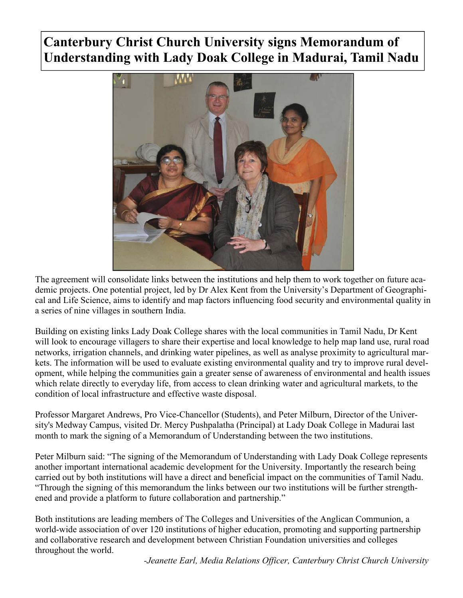# **Canterbury Christ Church University signs Memorandum of Understanding with Lady Doak College in Madurai, Tamil Nadu**



The agreement will consolidate links between the institutions and help them to work together on future academic projects. One potential project, led by Dr Alex Kent from the University's Department of Geographical and Life Science, aims to identify and map factors influencing food security and environmental quality in a series of nine villages in southern India.

Building on existing links Lady Doak College shares with the local communities in Tamil Nadu, Dr Kent will look to encourage villagers to share their expertise and local knowledge to help map land use, rural road networks, irrigation channels, and drinking water pipelines, as well as analyse proximity to agricultural markets. The information will be used to evaluate existing environmental quality and try to improve rural development, while helping the communities gain a greater sense of awareness of environmental and health issues which relate directly to everyday life, from access to clean drinking water and agricultural markets, to the condition of local infrastructure and effective waste disposal.

Professor Margaret Andrews, Pro Vice-Chancellor (Students), and Peter Milburn, Director of the University's Medway Campus, visited Dr. Mercy Pushpalatha (Principal) at Lady Doak College in Madurai last month to mark the signing of a Memorandum of Understanding between the two institutions.

Peter Milburn said: "The signing of the Memorandum of Understanding with Lady Doak College represents another important international academic development for the University. Importantly the research being carried out by both institutions will have a direct and beneficial impact on the communities of Tamil Nadu. "Through the signing of this memorandum the links between our two institutions will be further strengthened and provide a platform to future collaboration and partnership."

Both institutions are leading members of The Colleges and Universities of the Anglican Communion, a world-wide association of over 120 institutions of higher education, promoting and supporting partnership and collaborative research and development between Christian Foundation universities and colleges throughout the world.